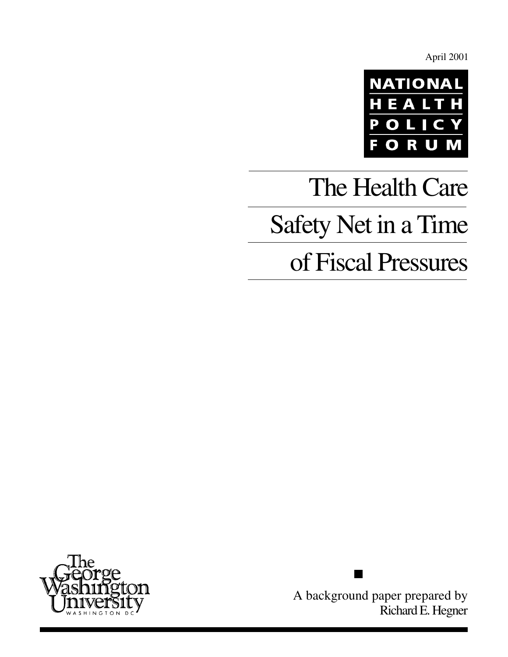April 2001



# The Health Care Safety Net in a Time of Fiscal Pressures



A background paper prepared by Richard E. Hegner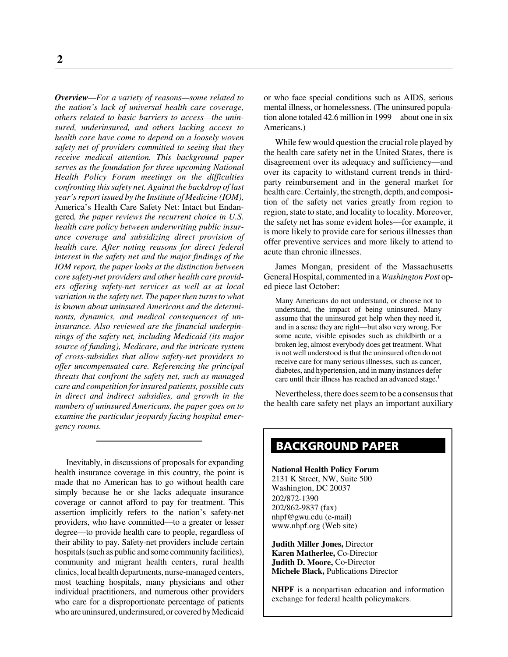*Overview—For a variety of reasons—some related to the nation's lack of universal health care coverage, others related to basic barriers to access—the uninsured, underinsured, and others lacking access to health care have come to depend on a loosely woven safety net of providers committed to seeing that they receive medical attention. This background paper serves as the foundation for three upcoming National Health Policy Forum meetings on the difficulties confronting this safety net. Against the backdrop of last year's report issued by the Institute of Medicine (IOM),* America's Health Care Safety Net: Intact but Endangered*, the paper reviews the recurrent choice in U.S. health care policy between underwriting public insurance coverage and subsidizing direct provision of health care. After noting reasons for direct federal interest in the safety net and the major findings of the IOM report, the paper looks at the distinction between core safety-net providers and other health care providers offering safety-net services as well as at local variation in the safety net. The paper then turns to what is known about uninsured Americans and the determinants, dynamics, and medical consequences of uninsurance. Also reviewed are the financial underpinnings of the safety net, including Medicaid (its major source of funding), Medicare, and the intricate system of cross-subsidies that allow safety-net providers to offer uncompensated care. Referencing the principal threats that confront the safety net, such as managed care and competition for insured patients, possible cuts in direct and indirect subsidies, and growth in the numbers of uninsured Americans, the paper goes on to examine the particular jeopardy facing hospital emergency rooms.*

Inevitably, in discussions of proposals for expanding health insurance coverage in this country, the point is made that no American has to go without health care simply because he or she lacks adequate insurance coverage or cannot afford to pay for treatment. This assertion implicitly refers to the nation's safety-net providers, who have committed—to a greater or lesser degree—to provide health care to people, regardless of their ability to pay. Safety-net providers include certain hospitals (such as public and some community facilities), community and migrant health centers, rural health clinics, local health departments, nurse-managed centers, most teaching hospitals, many physicians and other individual practitioners, and numerous other providers who care for a disproportionate percentage of patients who are uninsured, underinsured, or covered by Medicaid

or who face special conditions such as AIDS, serious mental illness, or homelessness. (The uninsured population alone totaled 42.6 million in 1999—about one in six Americans.)

While few would question the crucial role played by the health care safety net in the United States, there is disagreement over its adequacy and sufficiency—and over its capacity to withstand current trends in thirdparty reimbursement and in the general market for health care. Certainly, the strength, depth, and composition of the safety net varies greatly from region to region, state to state, and locality to locality. Moreover, the safety net has some evident holes—for example, it is more likely to provide care for serious illnesses than offer preventive services and more likely to attend to acute than chronic illnesses.

James Mongan, president of the Massachusetts General Hospital, commented in a *Washington Post* oped piece last October:

Many Americans do not understand, or choose not to understand, the impact of being uninsured. Many assume that the uninsured get help when they need it, and in a sense they are right—but also very wrong. For some acute, visible episodes such as childbirth or a broken leg, almost everybody does get treatment. What is not well understood is that the uninsured often do not receive care for many serious illnesses, such as cancer, diabetes, and hypertension, and in many instances defer care until their illness has reached an advanced stage.<sup>1</sup>

Nevertheless, there does seem to be a consensus that the health care safety net plays an important auxiliary

# **BACKGROUND PAPER**

**National Health Policy Forum** 2131 K Street, NW, Suite 500 Washington, DC 20037 202/872-1390 202/862-9837 (fax) nhpf@gwu.edu (e-mail) www.nhpf.org (Web site)

**Judith Miller Jones,** Director **Karen Matherlee,** Co-Director **Judith D. Moore,** Co-Director **Michele Black,** Publications Director

**NHPF** is a nonpartisan education and information exchange for federal health policymakers.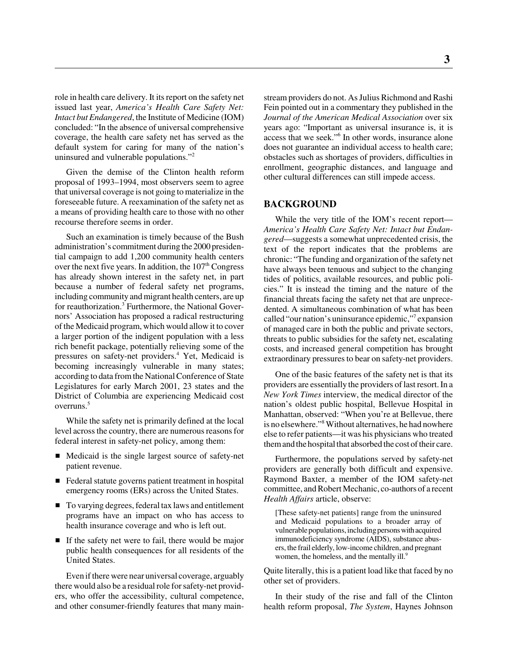role in health care delivery. It its report on the safety net issued last year, *America's Health Care Safety Net: Intact but Endangered*, the Institute of Medicine (IOM) concluded: "In the absence of universal comprehensive coverage, the health care safety net has served as the default system for caring for many of the nation's uninsured and vulnerable populations."2

Given the demise of the Clinton health reform proposal of 1993–1994, most observers seem to agree that universal coverage is not going to materialize in the foreseeable future. A reexamination of the safety net as a means of providing health care to those with no other recourse therefore seems in order.

Such an examination is timely because of the Bush administration's commitment during the 2000 presidential campaign to add 1,200 community health centers over the next five years. In addition, the  $107<sup>th</sup>$  Congress has already shown interest in the safety net, in part because a number of federal safety net programs, including community and migrant health centers, are up for reauthorization.<sup>3</sup> Furthermore, the National Governors' Association has proposed a radical restructuring of the Medicaid program, which would allow it to cover a larger portion of the indigent population with a less rich benefit package, potentially relieving some of the pressures on safety-net providers.<sup>4</sup> Yet, Medicaid is becoming increasingly vulnerable in many states; according to data from the National Conference of State Legislatures for early March 2001, 23 states and the District of Columbia are experiencing Medicaid cost overruns.5

While the safety net is primarily defined at the local level across the country, there are numerous reasons for federal interest in safety-net policy, among them:

- Medicaid is the single largest source of safety-net patient revenue.
- Federal statute governs patient treatment in hospital emergency rooms (ERs) across the United States.
- To varying degrees, federal tax laws and entitlement programs have an impact on who has access to health insurance coverage and who is left out.
- If the safety net were to fail, there would be major public health consequences for all residents of the United States.

Even if there were near universal coverage, arguably there would also be a residual role for safety-net providers, who offer the accessibility, cultural competence, and other consumer-friendly features that many mainstream providers do not. As Julius Richmond and Rashi Fein pointed out in a commentary they published in the *Journal of the American Medical Association* over six years ago: "Important as universal insurance is, it is access that we seek."6 In other words, insurance alone does not guarantee an individual access to health care; obstacles such as shortages of providers, difficulties in enrollment, geographic distances, and language and other cultural differences can still impede access.

#### **BACKGROUND**

While the very title of the IOM's recent report— *America's Health Care Safety Net: Intact but Endangered*—suggests a somewhat unprecedented crisis, the text of the report indicates that the problems are chronic: "The funding and organization of the safety net have always been tenuous and subject to the changing tides of politics, available resources, and public policies." It is instead the timing and the nature of the financial threats facing the safety net that are unprecedented. A simultaneous combination of what has been called "our nation's uninsurance epidemic,"<sup>7</sup> expansion of managed care in both the public and private sectors, threats to public subsidies for the safety net, escalating costs, and increased general competition has brought extraordinary pressures to bear on safety-net providers.

One of the basic features of the safety net is that its providers are essentially the providers of last resort. In a *New York Times* interview, the medical director of the nation's oldest public hospital, Bellevue Hospital in Manhattan, observed: "When you're at Bellevue, there is no elsewhere."8 Without alternatives, he had nowhere else to refer patients—it was his physicians who treated them and the hospital that absorbed the cost of their care.

Furthermore, the populations served by safety-net providers are generally both difficult and expensive. Raymond Baxter, a member of the IOM safety-net committee, and Robert Mechanic, co-authors of a recent *Health Affairs* article, observe:

[These safety-net patients] range from the uninsured and Medicaid populations to a broader array of vulnerable populations, including persons with acquired immunodeficiency syndrome (AIDS), substance abusers, the frail elderly, low-income children, and pregnant women, the homeless, and the mentally ill.<sup>9</sup>

Quite literally, this is a patient load like that faced by no other set of providers.

In their study of the rise and fall of the Clinton health reform proposal, *The System*, Haynes Johnson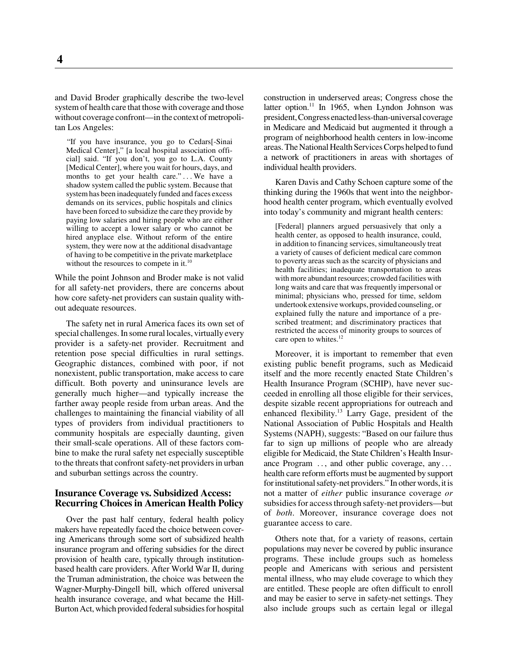and David Broder graphically describe the two-level system of health care that those with coverage and those without coverage confront—in the context of metropolitan Los Angeles:

"If you have insurance, you go to Cedars[-Sinai Medical Center]," [a local hospital association official] said. "If you don't, you go to L.A. County [Medical Center], where you wait for hours, days, and months to get your health care."... We have a shadow system called the public system. Because that system has been inadequately funded and faces excess demands on its services, public hospitals and clinics have been forced to subsidize the care they provide by paying low salaries and hiring people who are either willing to accept a lower salary or who cannot be hired anyplace else. Without reform of the entire system, they were now at the additional disadvantage of having to be competitive in the private marketplace without the resources to compete in it.<sup>10</sup>

While the point Johnson and Broder make is not valid for all safety-net providers, there are concerns about how core safety-net providers can sustain quality without adequate resources.

The safety net in rural America faces its own set of special challenges. In some rural locales, virtually every provider is a safety-net provider. Recruitment and retention pose special difficulties in rural settings. Geographic distances, combined with poor, if not nonexistent, public transportation, make access to care difficult. Both poverty and uninsurance levels are generally much higher—and typically increase the farther away people reside from urban areas. And the challenges to maintaining the financial viability of all types of providers from individual practitioners to community hospitals are especially daunting, given their small-scale operations. All of these factors combine to make the rural safety net especially susceptible to the threats that confront safety-net providers in urban and suburban settings across the country.

## **Insurance Coverage vs. Subsidized Access: Recurring Choices in American Health Policy**

Over the past half century, federal health policy makers have repeatedly faced the choice between covering Americans through some sort of subsidized health insurance program and offering subsidies for the direct provision of health care, typically through institutionbased health care providers. After World War II, during the Truman administration, the choice was between the Wagner-Murphy-Dingell bill, which offered universal health insurance coverage, and what became the Hill-Burton Act, which provided federal subsidies for hospital

construction in underserved areas; Congress chose the latter option.<sup>11</sup> In 1965, when Lyndon Johnson was president, Congress enacted less-than-universal coverage in Medicare and Medicaid but augmented it through a program of neighborhood health centers in low-income areas. The National Health Services Corps helped to fund a network of practitioners in areas with shortages of individual health providers.

Karen Davis and Cathy Schoen capture some of the thinking during the 1960s that went into the neighborhood health center program, which eventually evolved into today's community and migrant health centers:

[Federal] planners argued persuasively that only a health center, as opposed to health insurance, could, in addition to financing services, simultaneously treat a variety of causes of deficient medical care common to poverty areas such as the scarcity of physicians and health facilities; inadequate transportation to areas with more abundant resources; crowded facilities with long waits and care that was frequently impersonal or minimal; physicians who, pressed for time, seldom undertook extensive workups, provided counseling, or explained fully the nature and importance of a prescribed treatment; and discriminatory practices that restricted the access of minority groups to sources of care open to whites. $12$ 

Moreover, it is important to remember that even existing public benefit programs, such as Medicaid itself and the more recently enacted State Children's Health Insurance Program (SCHIP), have never succeeded in enrolling all those eligible for their services, despite sizable recent appropriations for outreach and enhanced flexibility.<sup>13</sup> Larry Gage, president of the National Association of Public Hospitals and Health Systems (NAPH), suggests: "Based on our failure thus far to sign up millions of people who are already eligible for Medicaid, the State Children's Health Insurance Program ..., and other public coverage, any ... health care reform efforts must be augmented by support for institutional safety-net providers." In other words, it is not a matter of *either* public insurance coverage *or* subsidies for access through safety-net providers—but of *both*. Moreover, insurance coverage does not guarantee access to care.

Others note that, for a variety of reasons, certain populations may never be covered by public insurance programs. These include groups such as homeless people and Americans with serious and persistent mental illness, who may elude coverage to which they are entitled. These people are often difficult to enroll and may be easier to serve in safety-net settings. They also include groups such as certain legal or illegal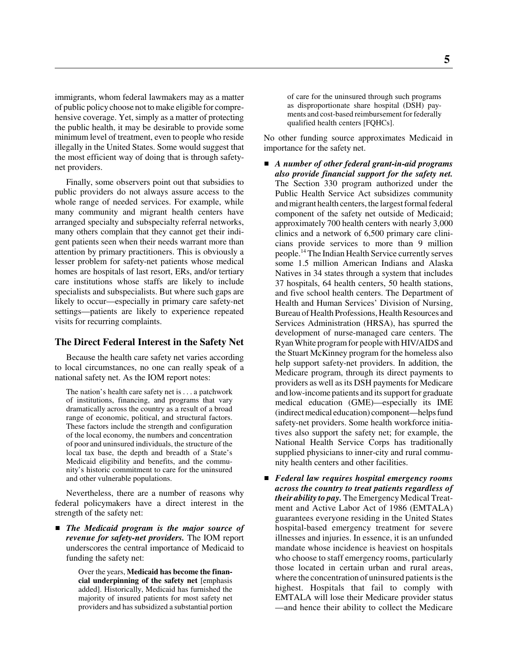immigrants, whom federal lawmakers may as a matter of public policy choose not to make eligible for comprehensive coverage. Yet, simply as a matter of protecting the public health, it may be desirable to provide some minimum level of treatment, even to people who reside illegally in the United States. Some would suggest that the most efficient way of doing that is through safetynet providers.

Finally, some observers point out that subsidies to public providers do not always assure access to the whole range of needed services. For example, while many community and migrant health centers have arranged specialty and subspecialty referral networks, many others complain that they cannot get their indigent patients seen when their needs warrant more than attention by primary practitioners. This is obviously a lesser problem for safety-net patients whose medical homes are hospitals of last resort, ERs, and/or tertiary care institutions whose staffs are likely to include specialists and subspecialists. But where such gaps are likely to occur—especially in primary care safety-net settings—patients are likely to experience repeated visits for recurring complaints.

# **The Direct Federal Interest in the Safety Net**

Because the health care safety net varies according to local circumstances, no one can really speak of a national safety net. As the IOM report notes:

The nation's health care safety net is . . . a patchwork of institutions, financing, and programs that vary dramatically across the country as a result of a broad range of economic, political, and structural factors. These factors include the strength and configuration of the local economy, the numbers and concentration of poor and uninsured individuals, the structure of the local tax base, the depth and breadth of a State's Medicaid eligibility and benefits, and the community's historic commitment to care for the uninsured and other vulnerable populations.

Nevertheless, there are a number of reasons why federal policymakers have a direct interest in the strength of the safety net:

 *The Medicaid program is the major source of revenue for safety-net providers.* The IOM report underscores the central importance of Medicaid to funding the safety net:

> Over the years, **Medicaid has become the financial underpinning of the safety net** [emphasis added]. Historically, Medicaid has furnished the majority of insured patients for most safety net providers and has subsidized a substantial portion

of care for the uninsured through such programs as disproportionate share hospital (DSH) payments and cost-based reimbursement for federally qualified health centers [FQHCs].

No other funding source approximates Medicaid in importance for the safety net.

- *A number of other federal grant-in-aid programs also provide financial support for the safety net.* The Section 330 program authorized under the Public Health Service Act subsidizes community and migrant health centers, the largest formal federal component of the safety net outside of Medicaid; approximately 700 health centers with nearly 3,000 clinics and a network of 6,500 primary care clinicians provide services to more than 9 million people.14 The Indian Health Service currently serves some 1.5 million American Indians and Alaska Natives in 34 states through a system that includes 37 hospitals, 64 health centers, 50 health stations, and five school health centers. The Department of Health and Human Services' Division of Nursing, Bureau of Health Professions, Health Resources and Services Administration (HRSA), has spurred the development of nurse-managed care centers. The Ryan White program for people with HIV/AIDS and the Stuart McKinney program for the homeless also help support safety-net providers. In addition, the Medicare program, through its direct payments to providers as well as its DSH payments for Medicare and low-income patients and its support for graduate medical education (GME)—especially its IME (indirect medical education) component—helps fund safety-net providers. Some health workforce initiatives also support the safety net; for example, the National Health Service Corps has traditionally supplied physicians to inner-city and rural community health centers and other facilities.
- *Federal law requires hospital emergency rooms across the country to treat patients regardless of their ability to pay.* The Emergency Medical Treatment and Active Labor Act of 1986 (EMTALA) guarantees everyone residing in the United States hospital-based emergency treatment for severe illnesses and injuries. In essence, it is an unfunded mandate whose incidence is heaviest on hospitals who choose to staff emergency rooms, particularly those located in certain urban and rural areas, where the concentration of uninsured patients is the highest. Hospitals that fail to comply with EMTALA will lose their Medicare provider status —and hence their ability to collect the Medicare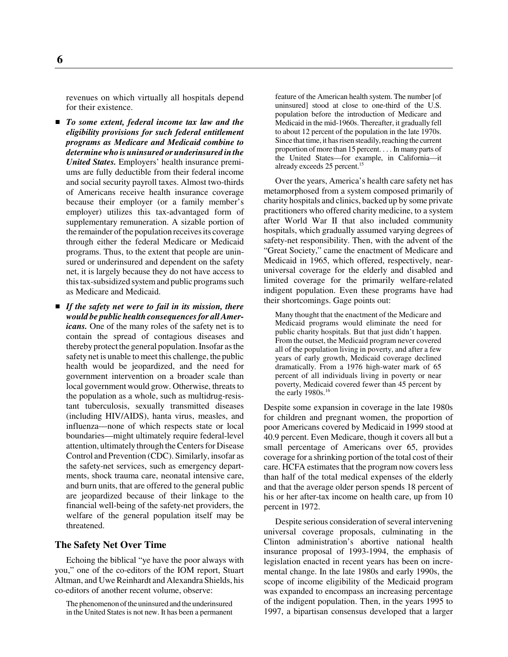revenues on which virtually all hospitals depend for their existence.

- *To some extent, federal income tax law and the eligibility provisions for such federal entitlement programs as Medicare and Medicaid combine to determine who is uninsured or underinsured in the United States.* Employers' health insurance premiums are fully deductible from their federal income and social security payroll taxes. Almost two-thirds of Americans receive health insurance coverage because their employer (or a family member's employer) utilizes this tax-advantaged form of supplementary remuneration. A sizable portion of the remainder of the population receives its coverage through either the federal Medicare or Medicaid programs. Thus, to the extent that people are uninsured or underinsured and dependent on the safety net, it is largely because they do not have access to this tax-subsidized system and public programs such as Medicare and Medicaid.
- *If the safety net were to fail in its mission, there would be public health consequences for all Americans.* One of the many roles of the safety net is to contain the spread of contagious diseases and thereby protect the general population. Insofar as the safety net is unable to meet this challenge, the public health would be jeopardized, and the need for government intervention on a broader scale than local government would grow. Otherwise, threats to the population as a whole, such as multidrug-resistant tuberculosis, sexually transmitted diseases (including HIV/AIDS), hanta virus, measles, and influenza—none of which respects state or local boundaries—might ultimately require federal-level attention, ultimately through the Centers for Disease Control and Prevention (CDC). Similarly, insofar as the safety-net services, such as emergency departments, shock trauma care, neonatal intensive care, and burn units, that are offered to the general public are jeopardized because of their linkage to the financial well-being of the safety-net providers, the welfare of the general population itself may be threatened.

#### **The Safety Net Over Time**

Echoing the biblical "ye have the poor always with you," one of the co-editors of the IOM report, Stuart Altman, and Uwe Reinhardt and Alexandra Shields, his co-editors of another recent volume, observe:

The phenomenon of the uninsured and the underinsured in the United States is not new. It has been a permanent feature of the American health system. The number [of uninsured] stood at close to one-third of the U.S. population before the introduction of Medicare and Medicaid in the mid-1960s. Thereafter, it gradually fell to about 12 percent of the population in the late 1970s. Since that time, it has risen steadily, reaching the current proportion of more than 15 percent. . . . In many parts of the United States—for example, in California—it already exceeds 25 percent.15

Over the years, America's health care safety net has metamorphosed from a system composed primarily of charity hospitals and clinics, backed up by some private practitioners who offered charity medicine, to a system after World War II that also included community hospitals, which gradually assumed varying degrees of safety-net responsibility. Then, with the advent of the "Great Society," came the enactment of Medicare and Medicaid in 1965, which offered, respectively, nearuniversal coverage for the elderly and disabled and limited coverage for the primarily welfare-related indigent population. Even these programs have had their shortcomings. Gage points out:

Many thought that the enactment of the Medicare and Medicaid programs would eliminate the need for public charity hospitals. But that just didn't happen. From the outset, the Medicaid program never covered all of the population living in poverty, and after a few years of early growth, Medicaid coverage declined dramatically. From a 1976 high-water mark of 65 percent of all individuals living in poverty or near poverty, Medicaid covered fewer than 45 percent by the early  $1980s.<sup>16</sup>$ 

Despite some expansion in coverage in the late 1980s for children and pregnant women, the proportion of poor Americans covered by Medicaid in 1999 stood at 40.9 percent. Even Medicare, though it covers all but a small percentage of Americans over 65, provides coverage for a shrinking portion of the total cost of their care. HCFA estimates that the program now covers less than half of the total medical expenses of the elderly and that the average older person spends 18 percent of his or her after-tax income on health care, up from 10 percent in 1972.

Despite serious consideration of several intervening universal coverage proposals, culminating in the Clinton administration's abortive national health insurance proposal of 1993-1994, the emphasis of legislation enacted in recent years has been on incremental change. In the late 1980s and early 1990s, the scope of income eligibility of the Medicaid program was expanded to encompass an increasing percentage of the indigent population. Then, in the years 1995 to 1997, a bipartisan consensus developed that a larger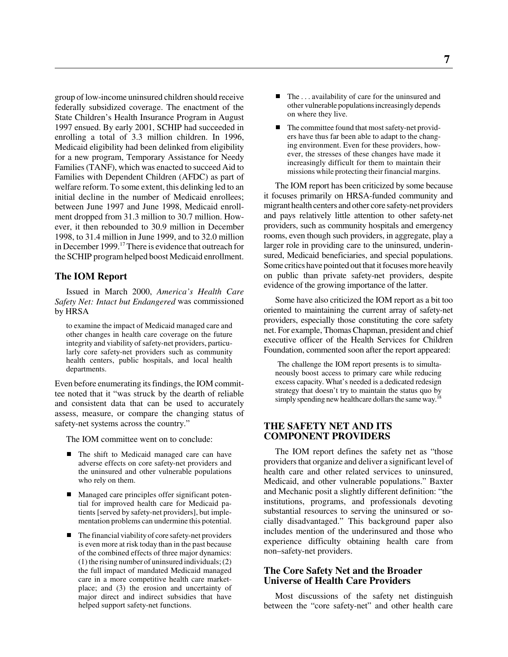group of low-income uninsured children should receive federally subsidized coverage. The enactment of the State Children's Health Insurance Program in August 1997 ensued. By early 2001, SCHIP had succeeded in enrolling a total of 3.3 million children. In 1996, Medicaid eligibility had been delinked from eligibility for a new program, Temporary Assistance for Needy Families (TANF), which was enacted to succeed Aid to Families with Dependent Children (AFDC) as part of welfare reform. To some extent, this delinking led to an initial decline in the number of Medicaid enrollees; between June 1997 and June 1998, Medicaid enrollment dropped from 31.3 million to 30.7 million. However, it then rebounded to 30.9 million in December 1998, to 31.4 million in June 1999, and to 32.0 million in December 1999.<sup>17</sup> There is evidence that outreach for the SCHIP program helped boost Medicaid enrollment.

# **The IOM Report**

Issued in March 2000, *America's Health Care Safety Net: Intact but Endangered* was commissioned by HRSA

to examine the impact of Medicaid managed care and other changes in health care coverage on the future integrity and viability of safety-net providers, particularly core safety-net providers such as community health centers, public hospitals, and local health departments.

Even before enumerating its findings, the IOM committee noted that it "was struck by the dearth of reliable and consistent data that can be used to accurately assess, measure, or compare the changing status of safety-net systems across the country."

The IOM committee went on to conclude:

- $\blacksquare$  The shift to Medicaid managed care can have adverse effects on core safety-net providers and the uninsured and other vulnerable populations who rely on them.
- Managed care principles offer significant potential for improved health care for Medicaid patients [served by safety-net providers], but implementation problems can undermine this potential.
- $\blacksquare$  The financial viability of core safety-net providers is even more at risk today than in the past because of the combined effects of three major dynamics: (1) the rising number of uninsured individuals; (2) the full impact of mandated Medicaid managed care in a more competitive health care marketplace; and (3) the erosion and uncertainty of major direct and indirect subsidies that have helped support safety-net functions.
- $\blacksquare$  The . . . availability of care for the uninsured and other vulnerable populations increasingly depends on where they live.
- The committee found that most safety-net providers have thus far been able to adapt to the changing environment. Even for these providers, however, the stresses of these changes have made it increasingly difficult for them to maintain their missions while protecting their financial margins.

The IOM report has been criticized by some because it focuses primarily on HRSA-funded community and migrant health centers and other core safety-net providers and pays relatively little attention to other safety-net providers, such as community hospitals and emergency rooms, even though such providers, in aggregate, play a larger role in providing care to the uninsured, underinsured, Medicaid beneficiaries, and special populations. Some critics have pointed out that it focuses more heavily on public than private safety-net providers, despite evidence of the growing importance of the latter.

Some have also criticized the IOM report as a bit too oriented to maintaining the current array of safety-net providers, especially those constituting the core safety net. For example, Thomas Chapman, president and chief executive officer of the Health Services for Children Foundation, commented soon after the report appeared:

 The challenge the IOM report presents is to simultaneously boost access to primary care while reducing excess capacity. What's needed is a dedicated redesign strategy that doesn't try to maintain the status quo by simply spending new healthcare dollars the same way.<sup>18</sup>

# **THE SAFETY NET AND ITS COMPONENT PROVIDERS**

The IOM report defines the safety net as "those providers that organize and deliver a significant level of health care and other related services to uninsured, Medicaid, and other vulnerable populations." Baxter and Mechanic posit a slightly different definition: "the institutions, programs, and professionals devoting substantial resources to serving the uninsured or socially disadvantaged." This background paper also includes mention of the underinsured and those who experience difficulty obtaining health care from non–safety-net providers.

# **The Core Safety Net and the Broader Universe of Health Care Providers**

Most discussions of the safety net distinguish between the "core safety-net" and other health care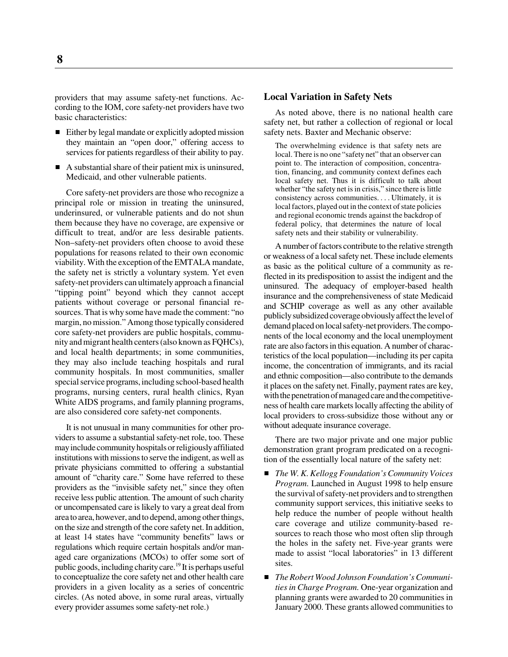providers that may assume safety-net functions. According to the IOM, core safety-net providers have two basic characteristics:

- Either by legal mandate or explicitly adopted mission they maintain an "open door," offering access to services for patients regardless of their ability to pay.
- A substantial share of their patient mix is uninsured, Medicaid, and other vulnerable patients.

Core safety-net providers are those who recognize a principal role or mission in treating the uninsured, underinsured, or vulnerable patients and do not shun them because they have no coverage, are expensive or difficult to treat, and/or are less desirable patients. Non–safety-net providers often choose to avoid these populations for reasons related to their own economic viability. With the exception of the EMTALA mandate, the safety net is strictly a voluntary system. Yet even safety-net providers can ultimately approach a financial "tipping point" beyond which they cannot accept patients without coverage or personal financial resources. That is why some have made the comment: "no margin, no mission." Among those typically considered core safety-net providers are public hospitals, community and migrant health centers (also known as FQHCs), and local health departments; in some communities, they may also include teaching hospitals and rural community hospitals. In most communities, smaller special service programs, including school-based health programs, nursing centers, rural health clinics, Ryan White AIDS programs, and family planning programs, are also considered core safety-net components.

It is not unusual in many communities for other providers to assume a substantial safety-net role, too. These may include community hospitals or religiously affiliated institutions with missions to serve the indigent, as well as private physicians committed to offering a substantial amount of "charity care." Some have referred to these providers as the "invisible safety net," since they often receive less public attention. The amount of such charity or uncompensated care is likely to vary a great deal from area to area, however, and to depend, among other things, on the size and strength of the core safety net. In addition, at least 14 states have "community benefits" laws or regulations which require certain hospitals and/or managed care organizations (MCOs) to offer some sort of public goods, including charity care.19 It is perhaps useful to conceptualize the core safety net and other health care providers in a given locality as a series of concentric circles. (As noted above, in some rural areas, virtually every provider assumes some safety-net role.)

#### **Local Variation in Safety Nets**

As noted above, there is no national health care safety net, but rather a collection of regional or local safety nets. Baxter and Mechanic observe:

The overwhelming evidence is that safety nets are local. There is no one "safety net" that an observer can point to. The interaction of composition, concentration, financing, and community context defines each local safety net. Thus it is difficult to talk about whether "the safety net is in crisis," since there is little consistency across communities. ...Ultimately, it is local factors, played out in the context of state policies and regional economic trends against the backdrop of federal policy, that determines the nature of local safety nets and their stability or vulnerability.

A number of factors contribute to the relative strength or weakness of a local safety net. These include elements as basic as the political culture of a community as reflected in its predisposition to assist the indigent and the uninsured. The adequacy of employer-based health insurance and the comprehensiveness of state Medicaid and SCHIP coverage as well as any other available publicly subsidized coverage obviously affect the level of demand placed on local safety-net providers. The components of the local economy and the local unemployment rate are also factors in this equation. A number of characteristics of the local population—including its per capita income, the concentration of immigrants, and its racial and ethnic composition—also contribute to the demands it places on the safety net. Finally, payment rates are key, with the penetration of managed care and the competitiveness of health care markets locally affecting the ability of local providers to cross-subsidize those without any or without adequate insurance coverage.

There are two major private and one major public demonstration grant program predicated on a recognition of the essentially local nature of the safety net:

- $\blacksquare$  *The W. K. Kellogg Foundation's Community Voices Program.* Launched in August 1998 to help ensure the survival of safety-net providers and to strengthen community support services, this initiative seeks to help reduce the number of people without health care coverage and utilize community-based resources to reach those who most often slip through the holes in the safety net. Five-year grants were made to assist "local laboratories" in 13 different sites.
- *The Robert Wood Johnson Foundation's Communities in Charge Program.* One-year organization and planning grants were awarded to 20 communities in January 2000. These grants allowed communities to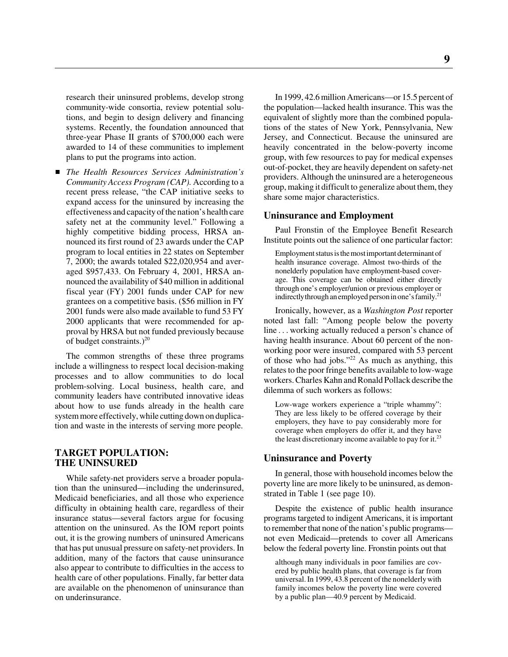research their uninsured problems, develop strong community-wide consortia, review potential solutions, and begin to design delivery and financing systems. Recently, the foundation announced that three-year Phase II grants of \$700,000 each were awarded to 14 of these communities to implement plans to put the programs into action.

 *The Health Resources Services Administration's Community Access Program (CAP).* According to a recent press release, "the CAP initiative seeks to expand access for the uninsured by increasing the effectiveness and capacity of the nation's health care safety net at the community level." Following a highly competitive bidding process, HRSA announced its first round of 23 awards under the CAP program to local entities in 22 states on September 7, 2000; the awards totaled \$22,020,954 and averaged \$957,433. On February 4, 2001, HRSA announced the availability of \$40 million in additional fiscal year (FY) 2001 funds under CAP for new grantees on a competitive basis. (\$56 million in FY 2001 funds were also made available to fund 53 FY 2000 applicants that were recommended for approval by HRSA but not funded previously because of budget constraints.) $^{20}$ 

The common strengths of these three programs include a willingness to respect local decision-making processes and to allow communities to do local problem-solving. Local business, health care, and community leaders have contributed innovative ideas about how to use funds already in the health care system more effectively, while cutting down on duplication and waste in the interests of serving more people.

# **TARGET POPULATION: THE UNINSURED**

While safety-net providers serve a broader population than the uninsured—including the underinsured, Medicaid beneficiaries, and all those who experience difficulty in obtaining health care, regardless of their insurance status—several factors argue for focusing attention on the uninsured. As the IOM report points out, it is the growing numbers of uninsured Americans that has put unusual pressure on safety-net providers. In addition, many of the factors that cause uninsurance also appear to contribute to difficulties in the access to health care of other populations. Finally, far better data are available on the phenomenon of uninsurance than on underinsurance.

In 1999, 42.6 million Americans—or 15.5 percent of the population—lacked health insurance. This was the equivalent of slightly more than the combined populations of the states of New York, Pennsylvania, New Jersey, and Connecticut. Because the uninsured are heavily concentrated in the below-poverty income group, with few resources to pay for medical expenses out-of-pocket, they are heavily dependent on safety-net providers. Although the uninsured are a heterogeneous group, making it difficult to generalize about them, they share some major characteristics.

#### **Uninsurance and Employment**

Paul Fronstin of the Employee Benefit Research Institute points out the salience of one particular factor:

Employment status is the most important determinant of health insurance coverage. Almost two-thirds of the nonelderly population have employment-based coverage. This coverage can be obtained either directly through one's employer/union or previous employer or indirectly through an employed person in one's family.<sup>21</sup>

Ironically, however, as a *Washington Post* reporter noted last fall: "Among people below the poverty line . . . working actually reduced a person's chance of having health insurance. About 60 percent of the nonworking poor were insured, compared with 53 percent of those who had jobs."<sup>22</sup> As much as anything, this relates to the poor fringe benefits available to low-wage workers. Charles Kahn and Ronald Pollack describe the dilemma of such workers as follows:

Low-wage workers experience a "triple whammy": They are less likely to be offered coverage by their employers, they have to pay considerably more for coverage when employers do offer it, and they have the least discretionary income available to pay for it.<sup>23</sup>

#### **Uninsurance and Poverty**

In general, those with household incomes below the poverty line are more likely to be uninsured, as demonstrated in Table 1 (see page 10).

Despite the existence of public health insurance programs targeted to indigent Americans, it is important to remember that none of the nation's public programs not even Medicaid—pretends to cover all Americans below the federal poverty line. Fronstin points out that

although many individuals in poor families are covered by public health plans, that coverage is far from universal. In 1999, 43.8 percent of the nonelderly with family incomes below the poverty line were covered by a public plan—40.9 percent by Medicaid.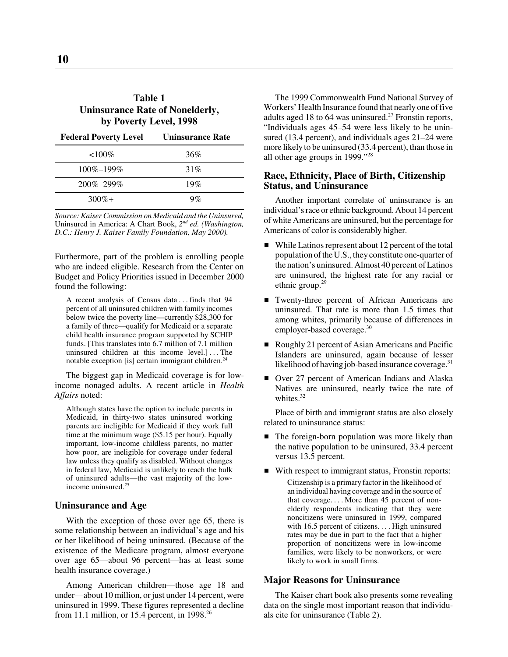# **Table 1 Uninsurance Rate of Nonelderly, by Poverty Level, 1998**

| <b>Federal Poverty Level</b> | <b>Uninsurance Rate</b> |
|------------------------------|-------------------------|
| ${<}100\%$                   | 36%                     |
| $100\% - 199\%$              | 31%                     |
| $200\% - 299\%$              | 19%                     |
| $300\% +$                    | $9\%$                   |

*Source: Kaiser Commission on Medicaid and the Uninsured,* Uninsured in America: A Chart Book, *2nd ed. (Washington, D.C.: Henry J. Kaiser Family Foundation, May 2000).*

Furthermore, part of the problem is enrolling people who are indeed eligible. Research from the Center on Budget and Policy Priorities issued in December 2000 found the following:

A recent analysis of Census data . . . finds that 94 percent of all uninsured children with family incomes below twice the poverty line—currently \$28,300 for a family of three—qualify for Medicaid or a separate child health insurance program supported by SCHIP funds. [This translates into 6.7 million of 7.1 million uninsured children at this income level.] . . . The notable exception [is] certain immigrant children. $24$ 

The biggest gap in Medicaid coverage is for lowincome nonaged adults. A recent article in *Health Affairs* noted:

Although states have the option to include parents in Medicaid, in thirty-two states uninsured working parents are ineligible for Medicaid if they work full time at the minimum wage (\$5.15 per hour). Equally important, low-income childless parents, no matter how poor, are ineligible for coverage under federal law unless they qualify as disabled. Without changes in federal law, Medicaid is unlikely to reach the bulk of uninsured adults—the vast majority of the lowincome uninsured.<sup>25</sup>

# **Uninsurance and Age**

With the exception of those over age 65, there is some relationship between an individual's age and his or her likelihood of being uninsured. (Because of the existence of the Medicare program, almost everyone over age 65—about 96 percent—has at least some health insurance coverage.)

Among American children—those age 18 and under—about 10 million, or just under 14 percent, were uninsured in 1999. These figures represented a decline from 11.1 million, or 15.4 percent, in 1998. $^{26}$ 

The 1999 Commonwealth Fund National Survey of Workers' Health Insurance found that nearly one of five adults aged 18 to 64 was uninsured.<sup>27</sup> Fronstin reports, "Individuals ages 45–54 were less likely to be uninsured (13.4 percent), and individuals ages 21–24 were more likely to be uninsured (33.4 percent), than those in all other age groups in 1999."28

## **Race, Ethnicity, Place of Birth, Citizenship Status, and Uninsurance**

Another important correlate of uninsurance is an individual's race or ethnic background. About 14 percent of white Americans are uninsured, but the percentage for Americans of color is considerably higher.

- $\blacksquare$  While Latinos represent about 12 percent of the total population of the U.S., they constitute one-quarter of the nation's uninsured. Almost 40 percent of Latinos are uninsured, the highest rate for any racial or ethnic group. $29$
- Twenty-three percent of African Americans are uninsured. That rate is more than 1.5 times that among whites, primarily because of differences in employer-based coverage.<sup>30</sup>
- Roughly 21 percent of Asian Americans and Pacific Islanders are uninsured, again because of lesser likelihood of having job-based insurance coverage.<sup>31</sup>
- Over 27 percent of American Indians and Alaska Natives are uninsured, nearly twice the rate of whites.<sup>32</sup>

Place of birth and immigrant status are also closely related to uninsurance status:

- The foreign-born population was more likely than the native population to be uninsured, 33.4 percent versus 13.5 percent.
- With respect to immigrant status, Fronstin reports:

Citizenship is a primary factor in the likelihood of an individual having coverage and in the source of that coverage. . . . More than 45 percent of nonelderly respondents indicating that they were noncitizens were uninsured in 1999, compared with 16.5 percent of citizens.... High uninsured rates may be due in part to the fact that a higher proportion of noncitizens were in low-income families, were likely to be nonworkers, or were likely to work in small firms.

#### **Major Reasons for Uninsurance**

The Kaiser chart book also presents some revealing data on the single most important reason that individuals cite for uninsurance (Table 2).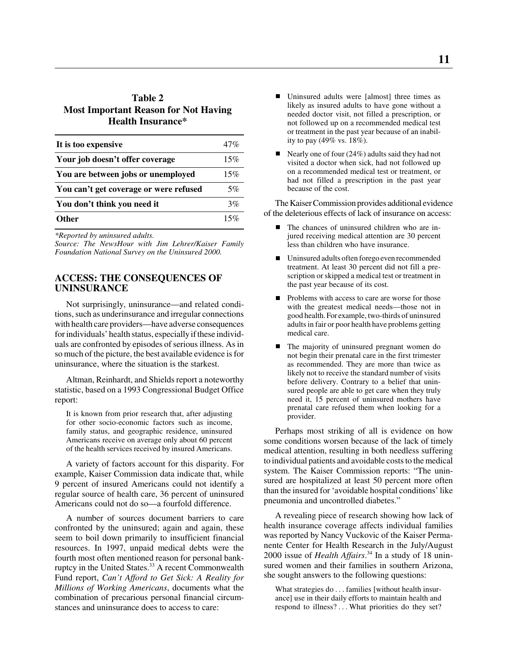# **Table 2 Most Important Reason for Not Having Health Insurance\***

| It is too expensive                    | 47% |
|----------------------------------------|-----|
| Your job doesn't offer coverage        | 15% |
| You are between jobs or unemployed     | 15% |
| You can't get coverage or were refused | 5%  |
| You don't think you need it            | 3%  |
| <b>Other</b>                           | 15% |

*\*Reported by uninsured adults.*

*Source: The NewsHour with Jim Lehrer/Kaiser Family Foundation National Survey on the Uninsured 2000.*

# **ACCESS: THE CONSEQUENCES OF UNINSURANCE**

Not surprisingly, uninsurance—and related conditions, such as underinsurance and irregular connections with health care providers—have adverse consequences for individuals' health status, especially if these individuals are confronted by episodes of serious illness. As in so much of the picture, the best available evidence is for uninsurance, where the situation is the starkest.

Altman, Reinhardt, and Shields report a noteworthy statistic, based on a 1993 Congressional Budget Office report:

It is known from prior research that, after adjusting for other socio-economic factors such as income, family status, and geographic residence, uninsured Americans receive on average only about 60 percent of the health services received by insured Americans.

A variety of factors account for this disparity. For example, Kaiser Commission data indicate that, while 9 percent of insured Americans could not identify a regular source of health care, 36 percent of uninsured Americans could not do so—a fourfold difference.

A number of sources document barriers to care confronted by the uninsured; again and again, these seem to boil down primarily to insufficient financial resources. In 1997, unpaid medical debts were the fourth most often mentioned reason for personal bankruptcy in the United States.<sup>33</sup> A recent Commonwealth Fund report, *Can't Afford to Get Sick: A Reality for Millions of Working Americans*, documents what the combination of precarious personal financial circumstances and uninsurance does to access to care:

- $\blacksquare$  Uninsured adults were [almost] three times as likely as insured adults to have gone without a needed doctor visit, not filled a prescription, or not followed up on a recommended medical test or treatment in the past year because of an inability to pay (49% vs. 18%).
- $\blacksquare$  Nearly one of four (24%) adults said they had not visited a doctor when sick, had not followed up on a recommended medical test or treatment, or had not filled a prescription in the past year because of the cost.

The Kaiser Commission provides additional evidence of the deleterious effects of lack of insurance on access:

- $\blacksquare$  The chances of uninsured children who are injured receiving medical attention are 30 percent less than children who have insurance.
- Uninsured adults often forego even recommended treatment. At least 30 percent did not fill a prescription or skipped a medical test or treatment in the past year because of its cost.
- $\blacksquare$  Problems with access to care are worse for those with the greatest medical needs—those not in good health. For example, two-thirds of uninsured adults in fair or poor health have problems getting medical care.
- $\blacksquare$  The majority of uninsured pregnant women do not begin their prenatal care in the first trimester as recommended. They are more than twice as likely not to receive the standard number of visits before delivery. Contrary to a belief that uninsured people are able to get care when they truly need it, 15 percent of uninsured mothers have prenatal care refused them when looking for a provider.

Perhaps most striking of all is evidence on how some conditions worsen because of the lack of timely medical attention, resulting in both needless suffering to individual patients and avoidable costs to the medical system. The Kaiser Commission reports: "The uninsured are hospitalized at least 50 percent more often than the insured for 'avoidable hospital conditions' like pneumonia and uncontrolled diabetes."

A revealing piece of research showing how lack of health insurance coverage affects individual families was reported by Nancy Vuckovic of the Kaiser Permanente Center for Health Research in the July/August 2000 issue of *Health Affairs*. 34 In a study of 18 uninsured women and their families in southern Arizona, she sought answers to the following questions:

What strategies do . . . families [without health insurance] use in their daily efforts to maintain health and respond to illness? . . . What priorities do they set?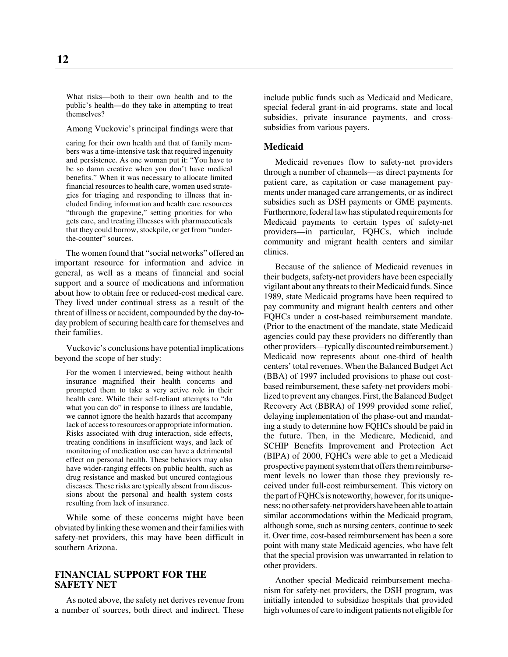What risks—both to their own health and to the public's health—do they take in attempting to treat themselves?

Among Vuckovic's principal findings were that

caring for their own health and that of family members was a time-intensive task that required ingenuity and persistence. As one woman put it: "You have to be so damn creative when you don't have medical benefits." When it was necessary to allocate limited financial resources to health care, women used strategies for triaging and responding to illness that included finding information and health care resources "through the grapevine," setting priorities for who gets care, and treating illnesses with pharmaceuticals that they could borrow, stockpile, or get from "underthe-counter" sources.

The women found that "social networks" offered an important resource for information and advice in general, as well as a means of financial and social support and a source of medications and information about how to obtain free or reduced-cost medical care. They lived under continual stress as a result of the threat of illness or accident, compounded by the day-today problem of securing health care for themselves and their families.

Vuckovic's conclusions have potential implications beyond the scope of her study:

For the women I interviewed, being without health insurance magnified their health concerns and prompted them to take a very active role in their health care. While their self-reliant attempts to "do what you can do" in response to illness are laudable, we cannot ignore the health hazards that accompany lack of access to resources or appropriate information. Risks associated with drug interaction, side effects, treating conditions in insufficient ways, and lack of monitoring of medication use can have a detrimental effect on personal health. These behaviors may also have wider-ranging effects on public health, such as drug resistance and masked but uncured contagious diseases. These risks are typically absent from discussions about the personal and health system costs resulting from lack of insurance.

While some of these concerns might have been obviated by linking these women and their families with safety-net providers, this may have been difficult in southern Arizona.

# **FINANCIAL SUPPORT FOR THE SAFETY NET**

As noted above, the safety net derives revenue from a number of sources, both direct and indirect. These include public funds such as Medicaid and Medicare, special federal grant-in-aid programs, state and local subsidies, private insurance payments, and crosssubsidies from various payers.

#### **Medicaid**

Medicaid revenues flow to safety-net providers through a number of channels—as direct payments for patient care, as capitation or case management payments under managed care arrangements, or as indirect subsidies such as DSH payments or GME payments. Furthermore, federal law has stipulated requirements for Medicaid payments to certain types of safety-net providers—in particular, FQHCs, which include community and migrant health centers and similar clinics.

Because of the salience of Medicaid revenues in their budgets, safety-net providers have been especially vigilant about any threats to their Medicaid funds. Since 1989, state Medicaid programs have been required to pay community and migrant health centers and other FQHCs under a cost-based reimbursement mandate. (Prior to the enactment of the mandate, state Medicaid agencies could pay these providers no differently than other providers—typically discounted reimbursement.) Medicaid now represents about one-third of health centers' total revenues. When the Balanced Budget Act (BBA) of 1997 included provisions to phase out costbased reimbursement, these safety-net providers mobilized to prevent any changes. First, the Balanced Budget Recovery Act (BBRA) of 1999 provided some relief, delaying implementation of the phase-out and mandating a study to determine how FQHCs should be paid in the future. Then, in the Medicare, Medicaid, and SCHIP Benefits Improvement and Protection Act (BIPA) of 2000, FQHCs were able to get a Medicaid prospective payment system that offers them reimbursement levels no lower than those they previously received under full-cost reimbursement. This victory on the part of FQHCs is noteworthy, however, for its uniqueness; no other safety-net providers have been able to attain similar accommodations within the Medicaid program, although some, such as nursing centers, continue to seek it. Over time, cost-based reimbursement has been a sore point with many state Medicaid agencies, who have felt that the special provision was unwarranted in relation to other providers.

Another special Medicaid reimbursement mechanism for safety-net providers, the DSH program, was initially intended to subsidize hospitals that provided high volumes of care to indigent patients not eligible for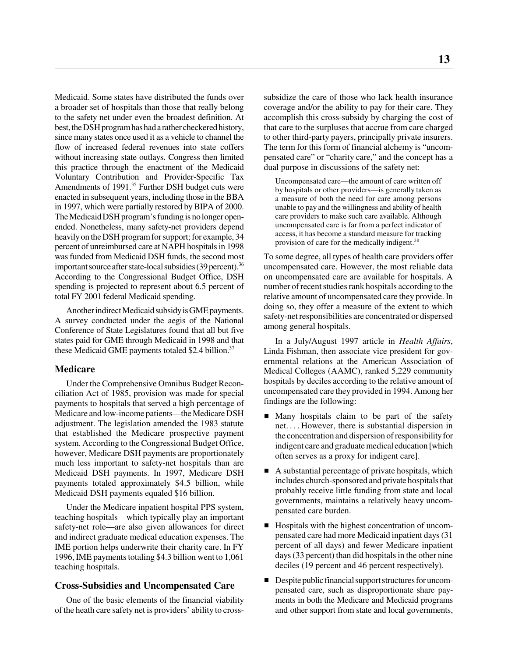Medicaid. Some states have distributed the funds over a broader set of hospitals than those that really belong to the safety net under even the broadest definition. At best, the DSH program has had a rather checkered history, since many states once used it as a vehicle to channel the flow of increased federal revenues into state coffers without increasing state outlays. Congress then limited this practice through the enactment of the Medicaid Voluntary Contribution and Provider-Specific Tax Amendments of 1991.<sup>35</sup> Further DSH budget cuts were enacted in subsequent years, including those in the BBA in 1997, which were partially restored by BIPA of 2000. The Medicaid DSH program's funding is no longer openended. Nonetheless, many safety-net providers depend heavily on the DSH program for support; for example, 34 percent of unreimbursed care at NAPH hospitals in 1998 was funded from Medicaid DSH funds, the second most important source after state-local subsidies  $(39 \text{ percent})$ .<sup>36</sup> According to the Congressional Budget Office, DSH spending is projected to represent about 6.5 percent of total FY 2001 federal Medicaid spending.

Another indirect Medicaid subsidy is GME payments. A survey conducted under the aegis of the National Conference of State Legislatures found that all but five states paid for GME through Medicaid in 1998 and that these Medicaid GME payments totaled \$2.4 billion.<sup>37</sup>

# **Medicare**

Under the Comprehensive Omnibus Budget Reconciliation Act of 1985, provision was made for special payments to hospitals that served a high percentage of Medicare and low-income patients—the Medicare DSH adjustment. The legislation amended the 1983 statute that established the Medicare prospective payment system. According to the Congressional Budget Office, however, Medicare DSH payments are proportionately much less important to safety-net hospitals than are Medicaid DSH payments. In 1997, Medicare DSH payments totaled approximately \$4.5 billion, while Medicaid DSH payments equaled \$16 billion.

Under the Medicare inpatient hospital PPS system, teaching hospitals—which typically play an important safety-net role—are also given allowances for direct and indirect graduate medical education expenses. The IME portion helps underwrite their charity care. In FY 1996, IME payments totaling \$4.3 billion went to 1,061 teaching hospitals.

## **Cross-Subsidies and Uncompensated Care**

One of the basic elements of the financial viability of the heath care safety net is providers' ability to crosssubsidize the care of those who lack health insurance coverage and/or the ability to pay for their care. They accomplish this cross-subsidy by charging the cost of that care to the surpluses that accrue from care charged to other third-party payers, principally private insurers. The term for this form of financial alchemy is "uncompensated care" or "charity care," and the concept has a dual purpose in discussions of the safety net:

Uncompensated care—the amount of care written off by hospitals or other providers—is generally taken as a measure of both the need for care among persons unable to pay and the willingness and ability of health care providers to make such care available. Although uncompensated care is far from a perfect indicator of access, it has become a standard measure for tracking provision of care for the medically indigent.<sup>38</sup>

To some degree, all types of health care providers offer uncompensated care. However, the most reliable data on uncompensated care are available for hospitals. A number of recent studies rank hospitals according to the relative amount of uncompensated care they provide. In doing so, they offer a measure of the extent to which safety-net responsibilities are concentrated or dispersed among general hospitals.

In a July/August 1997 article in *Health Affairs*, Linda Fishman, then associate vice president for governmental relations at the American Association of Medical Colleges (AAMC), ranked 5,229 community hospitals by deciles according to the relative amount of uncompensated care they provided in 1994. Among her findings are the following:

- Many hospitals claim to be part of the safety net. . . . However, there is substantial dispersion in the concentration and dispersion of responsibility for indigent care and graduate medical education [which often serves as a proxy for indigent care].
- A substantial percentage of private hospitals, which includes church-sponsored and private hospitals that probably receive little funding from state and local governments, maintains a relatively heavy uncompensated care burden.
- Hospitals with the highest concentration of uncompensated care had more Medicaid inpatient days (31 percent of all days) and fewer Medicare inpatient days (33 percent) than did hospitals in the other nine deciles (19 percent and 46 percent respectively).
- Despite public financial support structures for uncompensated care, such as disproportionate share payments in both the Medicare and Medicaid programs and other support from state and local governments,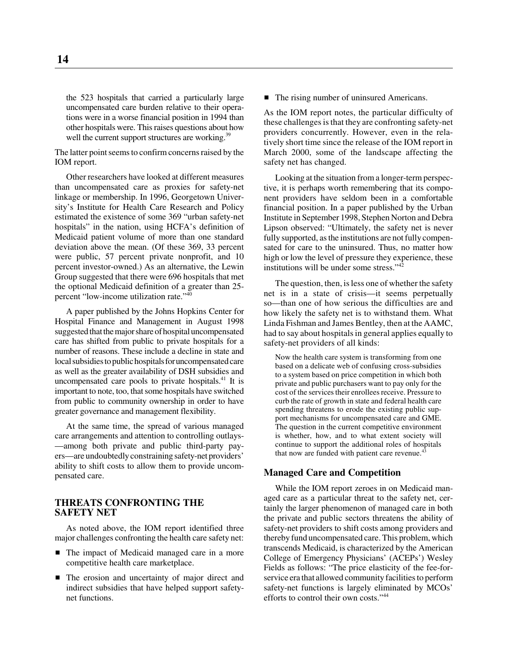the 523 hospitals that carried a particularly large uncompensated care burden relative to their operations were in a worse financial position in 1994 than other hospitals were. This raises questions about how well the current support structures are working.<sup>39</sup>

The latter point seems to confirm concerns raised by the IOM report.

Other researchers have looked at different measures than uncompensated care as proxies for safety-net linkage or membership. In 1996, Georgetown University's Institute for Health Care Research and Policy estimated the existence of some 369 "urban safety-net hospitals" in the nation, using HCFA's definition of Medicaid patient volume of more than one standard deviation above the mean. (Of these 369, 33 percent were public, 57 percent private nonprofit, and 10 percent investor-owned.) As an alternative, the Lewin Group suggested that there were 696 hospitals that met the optional Medicaid definition of a greater than 25 percent "low-income utilization rate."<sup>40</sup>

A paper published by the Johns Hopkins Center for Hospital Finance and Management in August 1998 suggested that the major share of hospital uncompensated care has shifted from public to private hospitals for a number of reasons. These include a decline in state and local subsidies to public hospitals for uncompensated care as well as the greater availability of DSH subsidies and uncompensated care pools to private hospitals. $41$  It is important to note, too, that some hospitals have switched from public to community ownership in order to have greater governance and management flexibility.

At the same time, the spread of various managed care arrangements and attention to controlling outlays- —among both private and public third-party payers—are undoubtedly constraining safety-net providers' ability to shift costs to allow them to provide uncompensated care.

# **THREATS CONFRONTING THE SAFETY NET**

As noted above, the IOM report identified three major challenges confronting the health care safety net:

- The impact of Medicaid managed care in a more competitive health care marketplace.
- The erosion and uncertainty of major direct and indirect subsidies that have helped support safetynet functions.

■ The rising number of uninsured Americans.

As the IOM report notes, the particular difficulty of these challenges is that they are confronting safety-net providers concurrently. However, even in the relatively short time since the release of the IOM report in March 2000, some of the landscape affecting the safety net has changed.

Looking at the situation from a longer-term perspective, it is perhaps worth remembering that its component providers have seldom been in a comfortable financial position. In a paper published by the Urban Institute in September 1998, Stephen Norton and Debra Lipson observed: "Ultimately, the safety net is never fully supported, as the institutions are not fully compensated for care to the uninsured. Thus, no matter how high or low the level of pressure they experience, these institutions will be under some stress."42

The question, then, is less one of whether the safety net is in a state of crisis—it seems perpetually so—than one of how serious the difficulties are and how likely the safety net is to withstand them. What Linda Fishman and James Bentley, then at the AAMC, had to say about hospitals in general applies equally to safety-net providers of all kinds:

Now the health care system is transforming from one based on a delicate web of confusing cross-subsidies to a system based on price competition in which both private and public purchasers want to pay only for the cost of the services their enrollees receive. Pressure to curb the rate of growth in state and federal health care spending threatens to erode the existing public support mechanisms for uncompensated care and GME. The question in the current competitive environment is whether, how, and to what extent society will continue to support the additional roles of hospitals that now are funded with patient care revenue.<sup>43</sup>

# **Managed Care and Competition**

While the IOM report zeroes in on Medicaid managed care as a particular threat to the safety net, certainly the larger phenomenon of managed care in both the private and public sectors threatens the ability of safety-net providers to shift costs among providers and thereby fund uncompensated care. This problem, which transcends Medicaid, is characterized by the American College of Emergency Physicians' (ACEPs') Wesley Fields as follows: "The price elasticity of the fee-forservice era that allowed community facilities to perform safety-net functions is largely eliminated by MCOs' efforts to control their own costs."44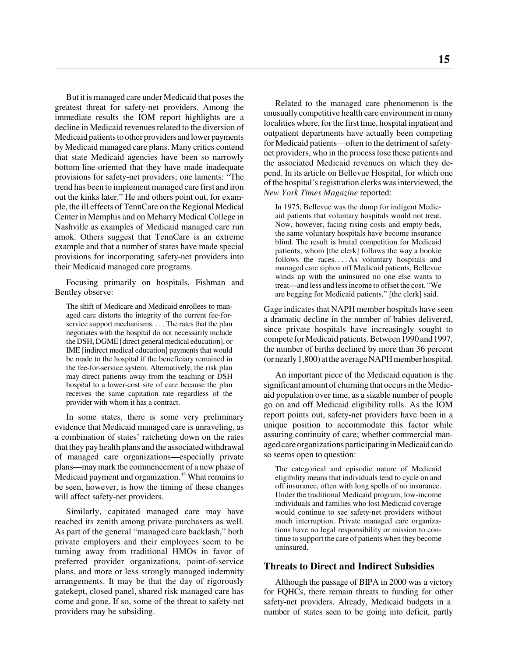But it is managed care under Medicaid that poses the greatest threat for safety-net providers. Among the immediate results the IOM report highlights are a decline in Medicaid revenues related to the diversion of Medicaid patients to other providers and lower payments by Medicaid managed care plans. Many critics contend that state Medicaid agencies have been so narrowly bottom-line-oriented that they have made inadequate provisions for safety-net providers; one laments: "The trend has been to implement managed care first and iron out the kinks later." He and others point out, for example, the ill effects of TennCare on the Regional Medical Center in Memphis and on Meharry Medical College in Nashville as examples of Medicaid managed care run amok. Others suggest that TennCare is an extreme example and that a number of states have made special provisions for incorporating safety-net providers into their Medicaid managed care programs.

Focusing primarily on hospitals, Fishman and Bentley observe:

The shift of Medicare and Medicaid enrollees to managed care distorts the integrity of the current fee-forservice support mechanisms. . . . The rates that the plan negotiates with the hospital do not necessarily include the DSH, DGME [direct general medical education], or IME [indirect medical education] payments that would be made to the hospital if the beneficiary remained in the fee-for-service system. Alternatively, the risk plan may direct patients away from the teaching or DSH hospital to a lower-cost site of care because the plan receives the same capitation rate regardless of the provider with whom it has a contract.

In some states, there is some very preliminary evidence that Medicaid managed care is unraveling, as a combination of states' ratcheting down on the rates that they pay health plans and the associated withdrawal of managed care organizations—especially private plans—may mark the commencement of a new phase of Medicaid payment and organization.<sup>45</sup> What remains to be seen, however, is how the timing of these changes will affect safety-net providers.

Similarly, capitated managed care may have reached its zenith among private purchasers as well. As part of the general "managed care backlash," both private employers and their employees seem to be turning away from traditional HMOs in favor of preferred provider organizations, point-of-service plans, and more or less strongly managed indemnity arrangements. It may be that the day of rigorously gatekept, closed panel, shared risk managed care has come and gone. If so, some of the threat to safety-net providers may be subsiding.

Related to the managed care phenomenon is the unusually competitive health care environment in many localities where, for the first time, hospital inpatient and outpatient departments have actually been competing for Medicaid patients—often to the detriment of safetynet providers, who in the process lose these patients and the associated Medicaid revenues on which they depend. In its article on Bellevue Hospital, for which one of the hospital's registration clerks was interviewed, the *New York Times Magazine* reported:

In 1975, Bellevue was the dump for indigent Medicaid patients that voluntary hospitals would not treat. Now, however, facing rising costs and empty beds, the same voluntary hospitals have become insurance blind. The result is brutal competition for Medicaid patients, whom [the clerk] follows the way a bookie follows the races. . . . As voluntary hospitals and managed care siphon off Medicaid patients, Bellevue winds up with the uninsured no one else wants to treat—and less and less income to offset the cost. "We are begging for Medicaid patients," [the clerk] said.

Gage indicates that NAPH member hospitals have seen a dramatic decline in the number of babies delivered, since private hospitals have increasingly sought to compete for Medicaid patients. Between 1990 and 1997, the number of births declined by more than 36 percent (or nearly 1,800) at the average NAPH member hospital.

An important piece of the Medicaid equation is the significant amount of churning that occurs in the Medicaid population over time, as a sizable number of people go on and off Medicaid eligibility rolls. As the IOM report points out, safety-net providers have been in a unique position to accommodate this factor while assuring continuity of care; whether commercial managed care organizations participating in Medicaid can do so seems open to question:

The categorical and episodic nature of Medicaid eligibility means that individuals tend to cycle on and off insurance, often with long spells of no insurance. Under the traditional Medicaid program, low-income individuals and families who lost Medicaid coverage would continue to see safety-net providers without much interruption. Private managed care organizations have no legal responsibility or mission to continue to support the care of patients when they become uninsured.

# **Threats to Direct and Indirect Subsidies**

Although the passage of BIPA in 2000 was a victory for FQHCs, there remain threats to funding for other safety-net providers. Already, Medicaid budgets in a number of states seen to be going into deficit, partly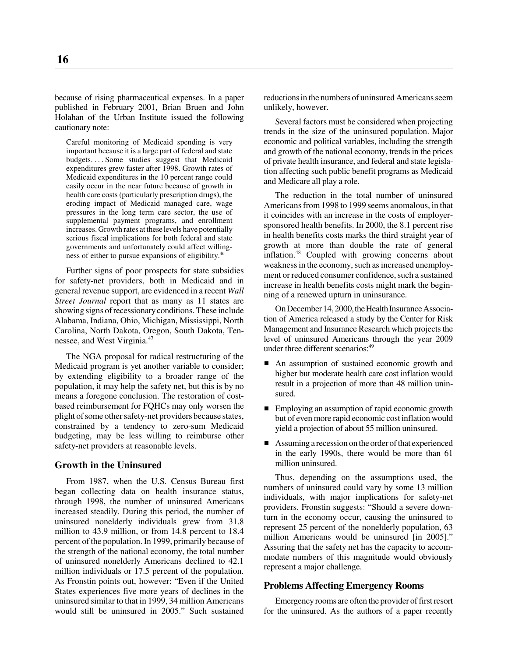because of rising pharmaceutical expenses. In a paper published in February 2001, Brian Bruen and John Holahan of the Urban Institute issued the following cautionary note:

Careful monitoring of Medicaid spending is very important because it is a large part of federal and state budgets. . . . Some studies suggest that Medicaid expenditures grew faster after 1998. Growth rates of Medicaid expenditures in the 10 percent range could easily occur in the near future because of growth in health care costs (particularly prescription drugs), the eroding impact of Medicaid managed care, wage pressures in the long term care sector, the use of supplemental payment programs, and enrollment increases. Growth rates at these levels have potentially serious fiscal implications for both federal and state governments and unfortunately could affect willingness of either to pursue expansions of eligibility.<sup>46</sup>

Further signs of poor prospects for state subsidies for safety-net providers, both in Medicaid and in general revenue support, are evidenced in a recent *Wall Street Journal* report that as many as 11 states are showing signs of recessionary conditions. These include Alabama, Indiana, Ohio, Michigan, Mississippi, North Carolina, North Dakota, Oregon, South Dakota, Tennessee, and West Virginia.47

The NGA proposal for radical restructuring of the Medicaid program is yet another variable to consider; by extending eligibility to a broader range of the population, it may help the safety net, but this is by no means a foregone conclusion. The restoration of costbased reimbursement for FQHCs may only worsen the plight of some other safety-net providers because states, constrained by a tendency to zero-sum Medicaid budgeting, may be less willing to reimburse other safety-net providers at reasonable levels.

# **Growth in the Uninsured**

From 1987, when the U.S. Census Bureau first began collecting data on health insurance status, through 1998, the number of uninsured Americans increased steadily. During this period, the number of uninsured nonelderly individuals grew from 31.8 million to 43.9 million, or from 14.8 percent to 18.4 percent of the population. In 1999, primarily because of the strength of the national economy, the total number of uninsured nonelderly Americans declined to 42.1 million individuals or 17.5 percent of the population. As Fronstin points out, however: "Even if the United States experiences five more years of declines in the uninsured similar to that in 1999, 34 million Americans would still be uninsured in 2005." Such sustained reductions in the numbers of uninsured Americans seem unlikely, however.

Several factors must be considered when projecting trends in the size of the uninsured population. Major economic and political variables, including the strength and growth of the national economy, trends in the prices of private health insurance, and federal and state legislation affecting such public benefit programs as Medicaid and Medicare all play a role.

The reduction in the total number of uninsured Americans from 1998 to 1999 seems anomalous, in that it coincides with an increase in the costs of employersponsored health benefits. In 2000, the 8.1 percent rise in health benefits costs marks the third straight year of growth at more than double the rate of general inflation.<sup>48</sup> Coupled with growing concerns about weakness in the economy, such as increased unemployment or reduced consumer confidence, such a sustained increase in health benefits costs might mark the beginning of a renewed upturn in uninsurance.

On December 14, 2000, the Health Insurance Association of America released a study by the Center for Risk Management and Insurance Research which projects the level of uninsured Americans through the year 2009 under three different scenarios:<sup>49</sup>

- An assumption of sustained economic growth and higher but moderate health care cost inflation would result in a projection of more than 48 million uninsured.
- **Employing an assumption of rapid economic growth** but of even more rapid economic cost inflation would yield a projection of about 55 million uninsured.
- Assuming a recession on the order of that experienced in the early 1990s, there would be more than 61 million uninsured.

Thus, depending on the assumptions used, the numbers of uninsured could vary by some 13 million individuals, with major implications for safety-net providers. Fronstin suggests: "Should a severe downturn in the economy occur, causing the uninsured to represent 25 percent of the nonelderly population, 63 million Americans would be uninsured [in 2005]." Assuring that the safety net has the capacity to accommodate numbers of this magnitude would obviously represent a major challenge.

## **Problems Affecting Emergency Rooms**

Emergency rooms are often the provider of first resort for the uninsured. As the authors of a paper recently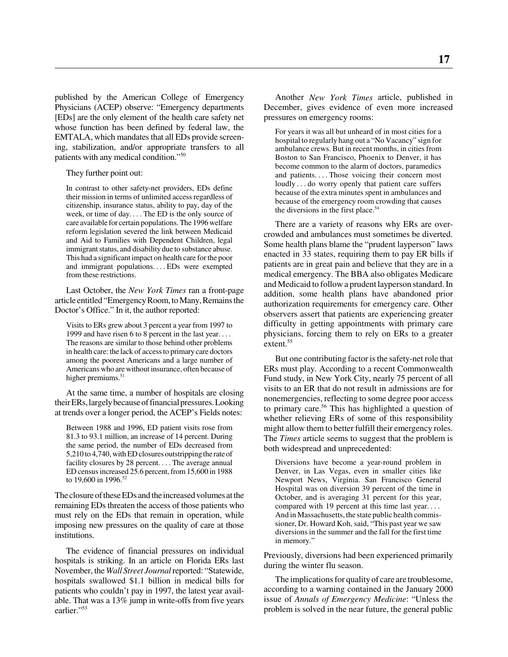published by the American College of Emergency Physicians (ACEP) observe: "Emergency departments [EDs] are the only element of the health care safety net whose function has been defined by federal law, the EMTALA, which mandates that all EDs provide screening, stabilization, and/or appropriate transfers to all patients with any medical condition."50

They further point out:

In contrast to other safety-net providers, EDs define their mission in terms of unlimited access regardless of citizenship, insurance status, ability to pay, day of the week, or time of day. . . . The ED is the only source of care available for certain populations. The 1996 welfare reform legislation severed the link between Medicaid and Aid to Families with Dependent Children, legal immigrant status, and disability due to substance abuse. This had a significant impact on health care for the poor and immigrant populations. . . . EDs were exempted from these restrictions.

Last October, the *New York Times* ran a front-page article entitled "Emergency Room, to Many, Remains the Doctor's Office." In it, the author reported:

Visits to ERs grew about 3 percent a year from 1997 to 1999 and have risen 6 to 8 percent in the last year. . . . The reasons are similar to those behind other problems in health care: the lack of access to primary care doctors among the poorest Americans and a large number of Americans who are without insurance, often because of higher premiums.<sup>51</sup>

At the same time, a number of hospitals are closing their ERs, largely because of financial pressures. Looking at trends over a longer period, the ACEP's Fields notes:

Between 1988 and 1996, ED patient visits rose from 81.3 to 93.1 million, an increase of 14 percent. During the same period, the number of EDs decreased from 5,210 to 4,740, with ED closures outstripping the rate of facility closures by 28 percent. . . . The average annual ED census increased 25.6 percent, from 15,600 in 1988 to 19,600 in 1996.<sup>52</sup>

The closure of these EDs and the increased volumes at the remaining EDs threaten the access of those patients who must rely on the EDs that remain in operation, while imposing new pressures on the quality of care at those institutions.

The evidence of financial pressures on individual hospitals is striking. In an article on Florida ERs last November, the *Wall Street Journal* reported: "Statewide, hospitals swallowed \$1.1 billion in medical bills for patients who couldn't pay in 1997, the latest year available. That was a 13% jump in write-offs from five years earlier."<sup>53</sup>

Another *New York Times* article, published in December, gives evidence of even more increased pressures on emergency rooms:

For years it was all but unheard of in most cities for a hospital to regularly hang out a "No Vacancy" sign for ambulance crews. But in recent months, in cities from Boston to San Francisco, Phoenix to Denver, it has become common to the alarm of doctors, paramedics and patients. . . . Those voicing their concern most loudly ... do worry openly that patient care suffers because of the extra minutes spent in ambulances and because of the emergency room crowding that causes the diversions in the first place.<sup>54</sup>

There are a variety of reasons why ERs are overcrowded and ambulances must sometimes be diverted. Some health plans blame the "prudent layperson" laws enacted in 33 states, requiring them to pay ER bills if patients are in great pain and believe that they are in a medical emergency. The BBA also obligates Medicare and Medicaid to follow a prudent layperson standard. In addition, some health plans have abandoned prior authorization requirements for emergency care. Other observers assert that patients are experiencing greater difficulty in getting appointments with primary care physicians, forcing them to rely on ERs to a greater extent.<sup>55</sup>

But one contributing factor is the safety-net role that ERs must play. According to a recent Commonwealth Fund study, in New York City, nearly 75 percent of all visits to an ER that do not result in admissions are for nonemergencies, reflecting to some degree poor access to primary care.56 This has highlighted a question of whether relieving ERs of some of this responsibility might allow them to better fulfill their emergency roles. The *Times* article seems to suggest that the problem is both widespread and unprecedented:

Diversions have become a year-round problem in Denver, in Las Vegas, even in smaller cities like Newport News, Virginia. San Francisco General Hospital was on diversion 39 percent of the time in October, and is averaging 31 percent for this year, compared with 19 percent at this time last year. . . . And in Massachusetts, the state public health commissioner, Dr. Howard Koh, said, "This past year we saw diversions in the summer and the fall for the first time in memory."

Previously, diversions had been experienced primarily during the winter flu season.

The implications for quality of care are troublesome, according to a warning contained in the January 2000 issue of *Annals of Emergency Medicine*: "Unless the problem is solved in the near future, the general public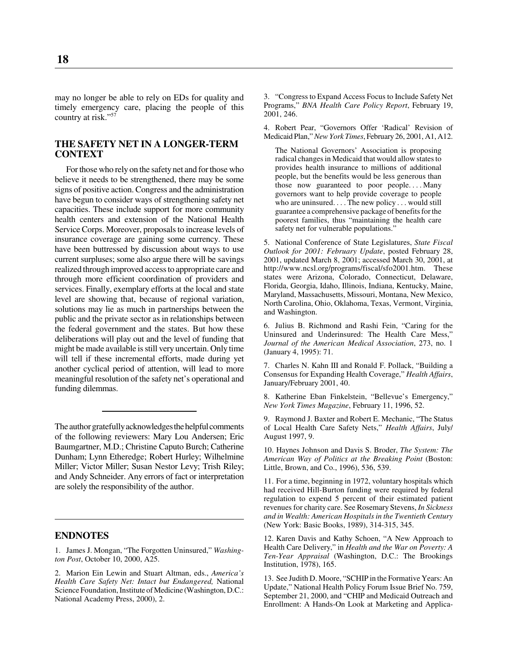may no longer be able to rely on EDs for quality and timely emergency care, placing the people of this country at risk."<sup>57</sup>

# **THE SAFETY NET IN A LONGER-TERM CONTEXT**

For those who rely on the safety net and for those who believe it needs to be strengthened, there may be some signs of positive action. Congress and the administration have begun to consider ways of strengthening safety net capacities. These include support for more community health centers and extension of the National Health Service Corps. Moreover, proposals to increase levels of insurance coverage are gaining some currency. These have been buttressed by discussion about ways to use current surpluses; some also argue there will be savings realized through improved access to appropriate care and through more efficient coordination of providers and services. Finally, exemplary efforts at the local and state level are showing that, because of regional variation, solutions may lie as much in partnerships between the public and the private sector as in relationships between the federal government and the states. But how these deliberations will play out and the level of funding that might be made available is still very uncertain. Only time will tell if these incremental efforts, made during yet another cyclical period of attention, will lead to more meaningful resolution of the safety net's operational and funding dilemmas.

The author gratefully acknowledges the helpful comments of the following reviewers: Mary Lou Andersen; Eric Baumgartner, M.D.; Christine Caputo Burch; Catherine Dunham; Lynn Etheredge; Robert Hurley; Wilhelmine Miller; Victor Miller; Susan Nestor Levy; Trish Riley; and Andy Schneider. Any errors of fact or interpretation are solely the responsibility of the author.

#### **ENDNOTES**

1. James J. Mongan, "The Forgotten Uninsured," *Washington Post*, October 10, 2000, A25.

2. Marion Ein Lewin and Stuart Altman, eds., *America's Health Care Safety Net: Intact but Endangered,* National Science Foundation, Institute of Medicine (Washington, D.C.: National Academy Press, 2000), 2.

3. "Congress to Expand Access Focus to Include Safety Net Programs," *BNA Health Care Policy Report*, February 19, 2001, 246.

4. Robert Pear, "Governors Offer 'Radical' Revision of Medicaid Plan,"*New York Times*, February 26, 2001, A1, A12.

The National Governors' Association is proposing radical changes in Medicaid that would allow states to provides health insurance to millions of additional people, but the benefits would be less generous than those now guaranteed to poor people. . . . Many governors want to help provide coverage to people who are uninsured. . . . The new policy . . . would still guarantee a comprehensive package of benefits for the poorest families, thus "maintaining the health care safety net for vulnerable populations."

5. National Conference of State Legislatures, *State Fiscal Outlook for 2001: February Update*, posted February 28, 2001, updated March 8, 2001; accessed March 30, 2001, at http://www.ncsl.org/programs/fiscal/sfo2001.htm. These states were Arizona, Colorado, Connecticut, Delaware, Florida, Georgia, Idaho, Illinois, Indiana, Kentucky, Maine, Maryland, Massachusetts, Missouri, Montana, New Mexico, North Carolina, Ohio, Oklahoma, Texas, Vermont, Virginia, and Washington.

6. Julius B. Richmond and Rashi Fein, "Caring for the Uninsured and Underinsured: The Health Care Mess," *Journal of the American Medical Association*, 273, no. 1 (January 4, 1995): 71.

7. Charles N. Kahn III and Ronald F. Pollack, "Building a Consensus for Expanding Health Coverage," *Health Affairs*, January/February 2001, 40.

8. Katherine Eban Finkelstein, "Bellevue's Emergency," *New York Times Magazine*, February 11, 1996, 52.

9. Raymond J. Baxter and Robert E. Mechanic, "The Status of Local Health Care Safety Nets," *Health Affairs*, July/ August 1997, 9.

10. Haynes Johnson and Davis S. Broder, *The System: The American Way of Politics at the Breaking Point* (Boston: Little, Brown, and Co., 1996), 536, 539.

11. For a time, beginning in 1972, voluntary hospitals which had received Hill-Burton funding were required by federal regulation to expend 5 percent of their estimated patient revenues for charity care. See Rosemary Stevens, *In Sickness and in Wealth: American Hospitals in the Twentieth Century* (New York: Basic Books, 1989), 314-315, 345.

12. Karen Davis and Kathy Schoen, "A New Approach to Health Care Delivery," in *Health and the War on Poverty: A Ten-Year Appraisal* (Washington, D.C.: The Brookings Institution, 1978), 165.

13. See Judith D. Moore, "SCHIP in the Formative Years: An Update," National Health Policy Forum Issue Brief No. 759, September 21, 2000, and "CHIP and Medicaid Outreach and Enrollment: A Hands-On Look at Marketing and Applica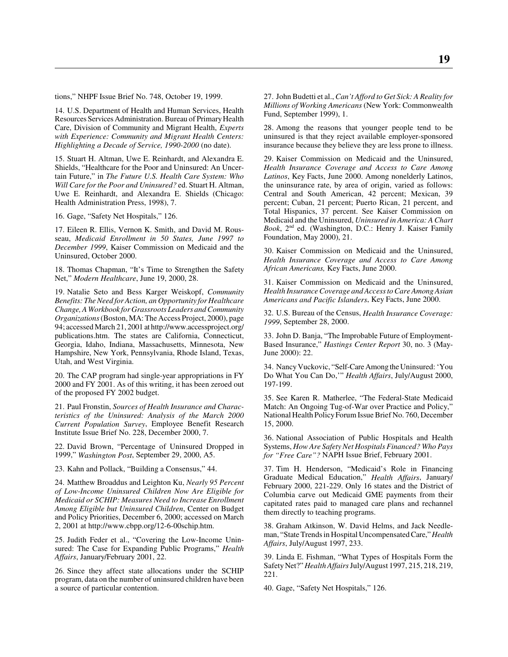tions," NHPF Issue Brief No. 748, October 19, 1999.

14. U.S. Department of Health and Human Services, Health Resources Services Administration. Bureau of Primary Health Care, Division of Community and Migrant Health, *Experts with Experience: Community and Migrant Health Centers: Highlighting a Decade of Service, 1990-2000* (no date).

15. Stuart H. Altman, Uwe E. Reinhardt, and Alexandra E. Shields, "Healthcare for the Poor and Uninsured: An Uncertain Future," in *The Future U.S. Health Care System: Who Will Care for the Poor and Uninsured?* ed. Stuart H. Altman, Uwe E. Reinhardt, and Alexandra E. Shields (Chicago: Health Administration Press, 1998), 7.

16. Gage, "Safety Net Hospitals," 126.

17. Eileen R. Ellis, Vernon K. Smith, and David M. Rousseau, *Medicaid Enrollment in 50 States, June 1997 to December 1999*, Kaiser Commission on Medicaid and the Uninsured, October 2000.

18. Thomas Chapman, "It's Time to Strengthen the Safety Net," *Modern Healthcare*, June 19, 2000, 28.

19. Natalie Seto and Bess Karger Weiskopf, *Community Benefits: The Need for Action, an Opportunity for Healthcare Change, A Workbook for Grassroots Leaders and Community Organizations* (Boston, MA: The Access Project, 2000), page 94; accessed March 21, 2001 at http://www.accessproject.org/ publications.htm. The states are California, Connecticut, Georgia, Idaho, Indiana, Massachusetts, Minnesota, New Hampshire, New York, Pennsylvania, Rhode Island, Texas, Utah, and West Virginia.

20. The CAP program had single-year appropriations in FY 2000 and FY 2001. As of this writing, it has been zeroed out of the proposed FY 2002 budget.

21. Paul Fronstin, *Sources of Health Insurance and Characteristics of the Uninsured: Analysis of the March 2000 Current Population Survey*, Employee Benefit Research Institute Issue Brief No. 228, December 2000, 7.

22. David Brown, "Percentage of Uninsured Dropped in 1999," *Washington Post*, September 29, 2000, A5.

23. Kahn and Pollack, "Building a Consensus," 44.

24. Matthew Broaddus and Leighton Ku, *Nearly 95 Percent of Low-Income Uninsured Children Now Are Eligible for Medicaid or SCHIP: Measures Need to Increase Enrollment Among Eligible but Uninsured Children*, Center on Budget and Policy Priorities, December 6, 2000; accessed on March 2, 2001 at http://www.cbpp.org/12-6-00schip.htm.

25. Judith Feder et al., "Covering the Low-Income Uninsured: The Case for Expanding Public Programs," *Health Affairs*, January/February 2001, 22.

26. Since they affect state allocations under the SCHIP program, data on the number of uninsured children have been a source of particular contention.

27. John Budetti et al., *Can't Afford to Get Sick: A Reality for Millions of Working Americans* (New York: Commonwealth Fund, September 1999), 1.

28. Among the reasons that younger people tend to be uninsured is that they reject available employer-sponsored insurance because they believe they are less prone to illness.

29. Kaiser Commission on Medicaid and the Uninsured, *Health Insurance Coverage and Access to Care Among Latinos*, Key Facts, June 2000. Among nonelderly Latinos, the uninsurance rate, by area of origin, varied as follows: Central and South American, 42 percent; Mexican, 39 percent; Cuban, 21 percent; Puerto Rican, 21 percent, and Total Hispanics, 37 percent. See Kaiser Commission on Medicaid and the Uninsured, *Uninsured in America: A Chart Book*, 2nd ed. (Washington, D.C.: Henry J. Kaiser Family Foundation, May 2000), 21.

30. Kaiser Commission on Medicaid and the Uninsured, *Health Insurance Coverage and Access to Care Among African Americans,* Key Facts, June 2000.

31. Kaiser Commission on Medicaid and the Uninsured, *Health Insurance Coverage and Access to Care Among Asian Americans and Pacific Islanders*, Key Facts, June 2000.

32. U.S. Bureau of the Census, *Health Insurance Coverage: 1999*, September 28, 2000.

33. John D. Banja, "The Improbable Future of Employment-Based Insurance," *Hastings Center Report* 30, no. 3 (May-June 2000): 22.

34. Nancy Vuckovic, "Self-Care Among the Uninsured: 'You Do What You Can Do,'" *Health Affairs*, July/August 2000, 197-199.

35. See Karen R. Matherlee, "The Federal-State Medicaid Match: An Ongoing Tug-of-War over Practice and Policy," National Health Policy Forum Issue Brief No. 760, December 15, 2000.

36. National Association of Public Hospitals and Health Systems, *How Are Safety Net Hospitals Financed? Who Pays for "Free Care"?* NAPH Issue Brief, February 2001.

37. Tim H. Henderson, "Medicaid's Role in Financing Graduate Medical Education," *Health Affairs*, January/ February 2000, 221-229. Only 16 states and the District of Columbia carve out Medicaid GME payments from their capitated rates paid to managed care plans and rechannel them directly to teaching programs.

38. Graham Atkinson, W. David Helms, and Jack Needleman, "State Trends in Hospital Uncompensated Care,"*Health Affairs*, July/August 1997, 233.

39. Linda E. Fishman, "What Types of Hospitals Form the Safety Net?" *Health Affairs* July/August 1997, 215, 218, 219, 221.

40. Gage, "Safety Net Hospitals," 126.